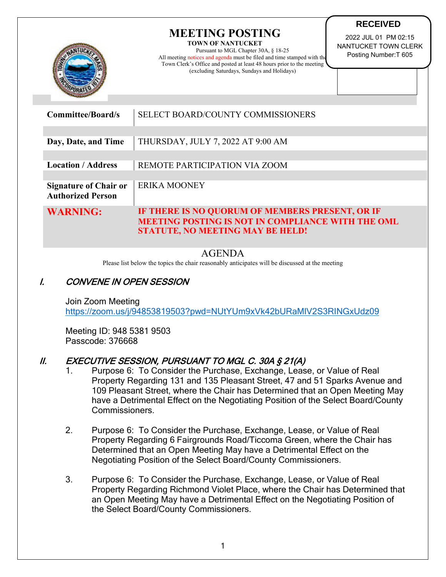|                                                          | <b>MEETING POSTING</b><br>2022 JUL 01 PM 02:15<br><b>TOWN OF NANTUCKET</b><br>NANTUCKET TOWN CLERK<br>Pursuant to MGL Chapter 30A, § 18-25<br>Posting Number: T 605<br>All meeting notices and agenda must be filed and time stamped with the<br>Town Clerk's Office and posted at least 48 hours prior to the meeting<br>(excluding Saturdays, Sundays and Holidays) |  |
|----------------------------------------------------------|-----------------------------------------------------------------------------------------------------------------------------------------------------------------------------------------------------------------------------------------------------------------------------------------------------------------------------------------------------------------------|--|
| <b>Committee/Board/s</b>                                 | <b>SELECT BOARD/COUNTY COMMISSIONERS</b>                                                                                                                                                                                                                                                                                                                              |  |
| Day, Date, and Time                                      | THURSDAY, JULY 7, 2022 AT 9:00 AM                                                                                                                                                                                                                                                                                                                                     |  |
| <b>Location / Address</b>                                | REMOTE PARTICIPATION VIA ZOOM                                                                                                                                                                                                                                                                                                                                         |  |
| <b>Signature of Chair or</b><br><b>Authorized Person</b> | <b>ERIKA MOONEY</b>                                                                                                                                                                                                                                                                                                                                                   |  |
| <b>WARNING:</b>                                          | IF THERE IS NO QUORUM OF MEMBERS PRESENT, OR IF<br><b>MEETING POSTING IS NOT IN COMPLIANCE WITH THE OML</b><br><b>STATUTE, NO MEETING MAY BE HELD!</b>                                                                                                                                                                                                                |  |

**RECEIVED**

## AGENDA

Please list below the topics the chair reasonably anticipates will be discussed at the meeting

## I. CONVENE IN OPEN SESSION

Join Zoom Meeting <https://zoom.us/j/94853819503?pwd=NUtYUm9xVk42bURaMlV2S3RINGxUdz09>

Meeting ID: 948 5381 9503 Passcode: 376668

## II. EXECUTIVE SESSION, PURSUANT TO MGL C. 30A § 21(A)

- 1. Purpose 6: To Consider the Purchase, Exchange, Lease, or Value of Real Property Regarding 131 and 135 Pleasant Street, 47 and 51 Sparks Avenue and 109 Pleasant Street, where the Chair has Determined that an Open Meeting May have a Detrimental Effect on the Negotiating Position of the Select Board/County Commissioners.
- 2. Purpose 6: To Consider the Purchase, Exchange, Lease, or Value of Real Property Regarding 6 Fairgrounds Road/Ticcoma Green, where the Chair has Determined that an Open Meeting May have a Detrimental Effect on the Negotiating Position of the Select Board/County Commissioners.
- 3. Purpose 6: To Consider the Purchase, Exchange, Lease, or Value of Real Property Regarding Richmond Violet Place, where the Chair has Determined that an Open Meeting May have a Detrimental Effect on the Negotiating Position of the Select Board/County Commissioners.